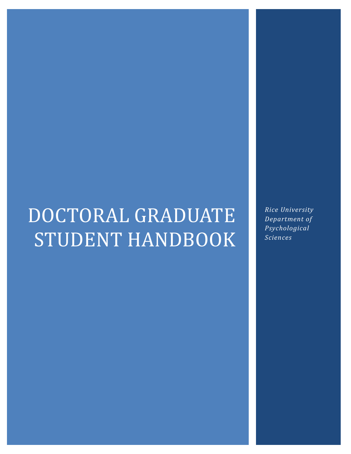# DOCTORAL GRADUATE STUDENT HANDBOOK

*Rice University Department of Psychological Sciences*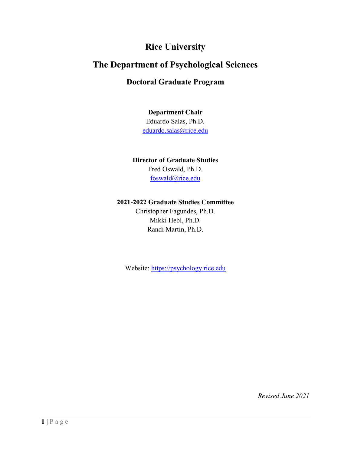# **Rice University**

# **The Department of Psychological Sciences**

# **Doctoral Graduate Program**

**Department Chair** Eduardo Salas, Ph.D. [eduardo.salas@rice.edu](mailto:eduardo.salas@rice.edu)

#### **Director of Graduate Studies**

Fred Oswald, Ph.D. [foswald@rice.edu](mailto:foswald@rice.edu)

#### **2021-2022 Graduate Studies Committee**

Christopher Fagundes, Ph.D. Mikki Hebl, Ph.D. Randi Martin, Ph.D.

Website: [https://psychology.rice.edu](https://psychology.rice.edu/)

*Revised June 2021*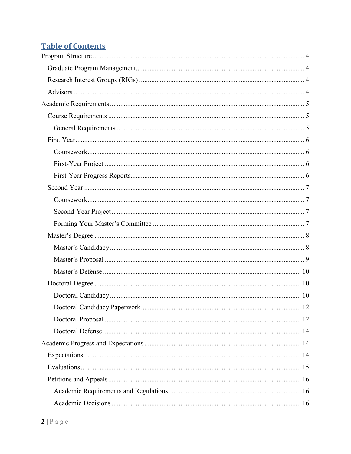# **Table of Contents**

| 12 |
|----|
|    |
|    |
|    |
|    |
|    |
|    |
|    |
|    |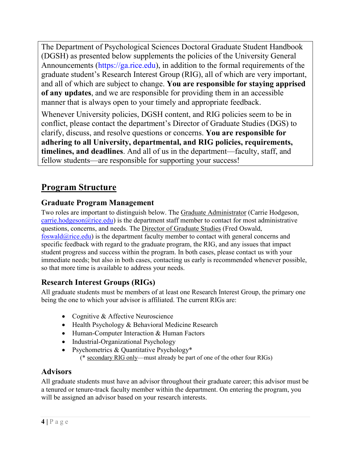The Department of Psychological Sciences Doctoral Graduate Student Handbook (DGSH) as presented below supplements the policies of the University General Announcements [\(https://ga.rice.edu\)](https://ga.rice.edu/), in addition to the formal requirements of the graduate student's Research Interest Group (RIG), all of which are very important, and all of which are subject to change. **You are responsible for staying apprised of any updates**, and we are responsible for providing them in an accessible manner that is always open to your timely and appropriate feedback.

Whenever University policies, DGSH content, and RIG policies seem to be in conflict, please contact the department's Director of Graduate Studies (DGS) to clarify, discuss, and resolve questions or concerns. **You are responsible for adhering to all University, departmental, and RIG policies, requirements, timelines, and deadlines**. And all of us in the department—faculty, staff, and fellow students—are responsible for supporting your success!

# <span id="page-4-0"></span>**Program Structure**

# <span id="page-4-1"></span>**Graduate Program Management**

Two roles are important to distinguish below. The Graduate Administrator (Carrie Hodgeson,  $\frac{\text{carrie.hodgeson}(a)\text{rice.edu}}{a}$  is the department staff member to contact for most administrative questions, concerns, and needs. The Director of Graduate Studies (Fred Oswald,  $f$ oswald $\omega$ rice.edu) is the department faculty member to contact with general concerns and specific feedback with regard to the graduate program, the RIG, and any issues that impact student progress and success within the program. In both cases, please contact us with your immediate needs; but also in both cases, contacting us early is recommended whenever possible, so that more time is available to address your needs.

# <span id="page-4-2"></span>**Research Interest Groups (RIGs)**

All graduate students must be members of at least one Research Interest Group, the primary one being the one to which your advisor is affiliated. The current RIGs are:

- Cognitive & Affective Neuroscience
- Health Psychology & Behavioral Medicine Research
- Human-Computer Interaction & Human Factors
- Industrial-Organizational Psychology
- Psychometrics & Quantitative Psychology\* (\* secondary RIG only—must already be part of one of the other four RIGs)

# <span id="page-4-3"></span>**Advisors**

All graduate students must have an advisor throughout their graduate career; this advisor must be a tenured or tenure-track faculty member within the department. On entering the program, you will be assigned an advisor based on your research interests.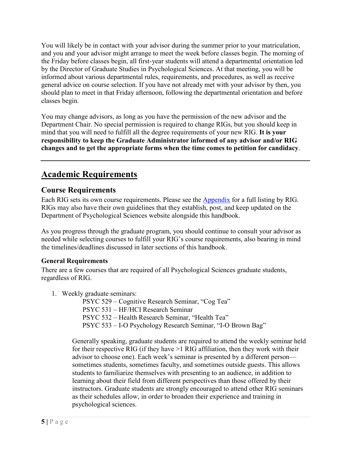You will likely be in contact with your advisor during the summer prior to your matriculation, and you and your advisor might arrange to meet the week before classes begin. The morning of the Friday before classes begin, all first-year students will attend a departmental orientation led by the Director of Graduate Studies in Psychological Sciences. At that meeting, you will be informed about various departmental rules, requirements, and procedures, as well as receive general advice on course selection. If you have not already met with your advisor by then, you should plan to meet in that Friday afternoon, following the departmental orientation and before classes begin.

You may change advisors, as long as you have the permission of the new advisor and the Department Chair. No special permission is required to change RIGs, but you should keep in mind that you will need to fulfill all the degree requirements of your new RIG. **It is your responsibility to keep the Graduate Administrator informed of any advisor and/or RIG changes and to get the appropriate forms when the time comes to petition for candidacy**.

# <span id="page-5-0"></span>**Academic Requirements**

# <span id="page-5-1"></span>**Course Requirements**

Each RIG sets its own course requirements. Please see the [Appendix](#page-19-0) for a full listing by RIG. RIGs may also have their own guidelines that they establish, post, and keep updated on the Department of Psychological Sciences website alongside this handbook.

As you progress through the graduate program, you should continue to consult your advisor as needed while selecting courses to fulfill your RIG's course requirements, also bearing in mind the timelines/deadlines discussed in later sections of this handbook.

#### <span id="page-5-2"></span>**General Requirements**

There are a few courses that are required of all Psychological Sciences graduate students, regardless of RIG.

1. Weekly graduate seminars:

 PSYC 529 – Cognitive Research Seminar, "Cog Tea" PSYC 531 – HF/HCI Research Seminar PSYC 532 – Health Research Seminar, "Health Tea" PSYC 533 – I-O Psychology Research Seminar, "I-O Brown Bag"

Generally speaking, graduate students are required to attend the weekly seminar held for their respective RIG (if they have >1 RIG affiliation, then they work with their advisor to choose one). Each week's seminar is presented by a different person sometimes students, sometimes faculty, and sometimes outside guests. This allows students to familiarize themselves with presenting to an audience, in addition to learning about their field from different perspectives than those offered by their instructors. Graduate students are strongly encouraged to attend other RIG seminars as their schedules allow, in order to broaden their experience and training in psychological sciences.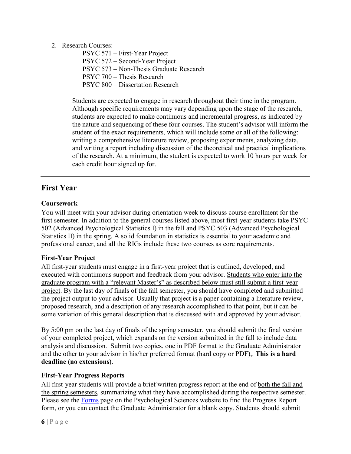#### 2. Research Courses:

PSYC 571 – First-Year Project PSYC 572 – Second-Year Project PSYC 573 – Non-Thesis Graduate Research PSYC 700 – Thesis Research PSYC 800 – Dissertation Research

Students are expected to engage in research throughout their time in the program. Although specific requirements may vary depending upon the stage of the research, students are expected to make continuous and incremental progress, as indicated by the nature and sequencing of these four courses. The student's advisor will inform the student of the exact requirements, which will include some or all of the following: writing a comprehensive literature review, proposing experiments, analyzing data, and writing a report including discussion of the theoretical and practical implications of the research. At a minimum, the student is expected to work 10 hours per week for each credit hour signed up for.

# <span id="page-6-0"></span>**First Year**

## <span id="page-6-1"></span>**Coursework**

You will meet with your advisor during orientation week to discuss course enrollment for the first semester. In addition to the general courses listed above, most first-year students take PSYC 502 (Advanced Psychological Statistics I) in the fall and PSYC 503 (Advanced Psychological Statistics II) in the spring. A solid foundation in statistics is essential to your academic and professional career, and all the RIGs include these two courses as core requirements.

## <span id="page-6-2"></span>**First-Year Project**

All first-year students must engage in a first-year project that is outlined, developed, and executed with continuous support and feedback from your advisor. Students who enter into the graduate program with a "relevant Master's" as described below must still submit a first-year project. By the last day of finals of the fall semester, you should have completed and submitted the project output to your advisor. Usually that project is a paper containing a literature review, proposed research, and a description of any research accomplished to that point, but it can be some variation of this general description that is discussed with and approved by your advisor.

By 5:00 pm on the last day of finals of the spring semester, you should submit the final version of your completed project, which expands on the version submitted in the fall to include data analysis and discussion. Submit two copies, one in PDF format to the Graduate Administrator and the other to your advisor in his/her preferred format (hard copy or PDF),. **This is a hard deadline (no extensions)**.

## <span id="page-6-3"></span>**First-Year Progress Reports**

All first-year students will provide a brief written progress report at the end of both the fall and the spring semesters, summarizing what they have accomplished during the respective semester. Please see the [Forms](https://psychology.rice.edu/forms) page on the Psychological Sciences website to find the Progress Report form, or you can contact the Graduate Administrator for a blank copy. Students should submit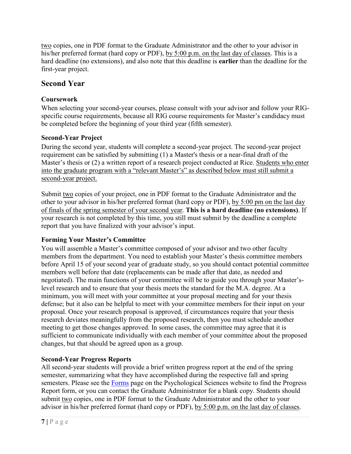two copies, one in PDF format to the Graduate Administrator and the other to your advisor in his/her preferred format (hard copy or PDF), by 5:00 p.m. on the last day of classes. This is a hard deadline (no extensions), and also note that this deadline is **earlier** than the deadline for the first-year project.

# <span id="page-7-0"></span>**Second Year**

# <span id="page-7-1"></span>**Coursework**

When selecting your second-year courses, please consult with your advisor and follow your RIGspecific course requirements, because all RIG course requirements for Master's candidacy must be completed before the beginning of your third year (fifth semester).

# <span id="page-7-2"></span>**Second-Year Project**

During the second year, students will complete a second-year project. The second-year project requirement can be satisfied by submitting (1) a Master's thesis or a near-final draft of the Master's thesis or (2) a written report of a research project conducted at Rice. Students who enter into the graduate program with a "relevant Master's" as described below must still submit a second-year project.

Submit two copies of your project, one in PDF format to the Graduate Administrator and the other to your advisor in his/her preferred format (hard copy or PDF), by 5:00 pm on the last day of finals of the spring semester of your second year. **This is a hard deadline (no extensions)**. If your research is not completed by this time, you still must submit by the deadline a complete report that you have finalized with your advisor's input.

# <span id="page-7-3"></span>**Forming Your Master's Committee**

You will assemble a Master's committee composed of your advisor and two other faculty members from the department. You need to establish your Master's thesis committee members before April 15 of your second year of graduate study, so you should contact potential committee members well before that date (replacements can be made after that date, as needed and negotiated). The main functions of your committee will be to guide you through your Master'slevel research and to ensure that your thesis meets the standard for the M.A. degree. At a minimum, you will meet with your committee at your proposal meeting and for your thesis defense; but it also can be helpful to meet with your committee members for their input on your proposal. Once your research proposal is approved, if circumstances require that your thesis research deviates meaningfully from the proposed research, then you must schedule another meeting to get those changes approved. In some cases, the committee may agree that it is sufficient to communicate individually with each member of your committee about the proposed changes, but that should be agreed upon as a group.

# **Second-Year Progress Reports**

All second-year students will provide a brief written progress report at the end of the spring semester, summarizing what they have accomplished during the respective fall and spring semesters. Please see the **Forms** page on the Psychological Sciences website to find the Progress Report form, or you can contact the Graduate Administrator for a blank copy. Students should submit two copies, one in PDF format to the Graduate Administrator and the other to your advisor in his/her preferred format (hard copy or PDF), by 5:00 p.m. on the last day of classes.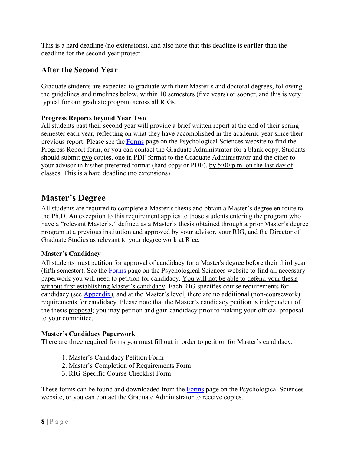This is a hard deadline (no extensions), and also note that this deadline is **earlier** than the deadline for the second-year project.

# **After the Second Year**

Graduate students are expected to graduate with their Master's and doctoral degrees, following the guidelines and timelines below, within 10 semesters (five years) or sooner, and this is very typical for our graduate program across all RIGs.

#### **Progress Reports beyond Year Two**

All students past their second year will provide a brief written report at the end of their spring semester each year, reflecting on what they have accomplished in the academic year since their previous report. Please see the [Forms](https://psychology.rice.edu/forms) page on the Psychological Sciences website to find the Progress Report form, or you can contact the Graduate Administrator for a blank copy. Students should submit two copies, one in PDF format to the Graduate Administrator and the other to your advisor in his/her preferred format (hard copy or PDF), by 5:00 p.m. on the last day of classes. This is a hard deadline (no extensions).

# <span id="page-8-0"></span>**Master's Degree**

All students are required to complete a Master's thesis and obtain a Master's degree en route to the Ph.D. An exception to this requirement applies to those students entering the program who have a "relevant Master's," defined as a Master's thesis obtained through a prior Master's degree program at a previous institution and approved by your advisor, your RIG, and the Director of Graduate Studies as relevant to your degree work at Rice.

#### <span id="page-8-1"></span>**Master's Candidacy**

All students must petition for approval of candidacy for a Master's degree before their third year (fifth semester). See the [Forms](https://psychology.rice.edu/forms) page on the Psychological Sciences website to find all necessary paperwork you will need to petition for candidacy. You will not be able to defend your thesis without first establishing Master's candidacy. Each RIG specifies course requirements for candidacy (see [Appendix\)](#page-19-0), and at the Master's level, there are no additional (non-coursework) requirements for candidacy. Please note that the Master's candidacy petition is independent of the thesis proposal; you may petition and gain candidacy prior to making your official proposal to your committee.

#### **Master's Candidacy Paperwork**

There are three required forms you must fill out in order to petition for Master's candidacy:

- 1. Master's Candidacy Petition Form
- 2. Master's Completion of Requirements Form
- 3. RIG-Specific Course Checklist Form

These forms can be found and downloaded from the **Forms** page on the Psychological Sciences website, or you can contact the Graduate Administrator to receive copies.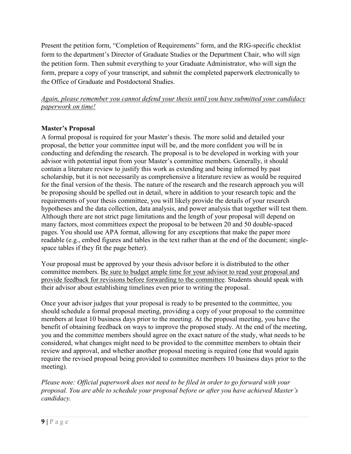Present the petition form, "Completion of Requirements" form, and the RIG-specific checklist form to the department's Director of Graduate Studies or the Department Chair, who will sign the petition form. Then submit everything to your Graduate Administrator, who will sign the form, prepare a copy of your transcript, and submit the completed paperwork electronically to the Office of Graduate and Postdoctoral Studies.

*Again, please remember you cannot defend your thesis until you have submitted your candidacy paperwork on time!* 

#### <span id="page-9-0"></span>**Master's Proposal**

A formal proposal is required for your Master's thesis. The more solid and detailed your proposal, the better your committee input will be, and the more confident you will be in conducting and defending the research. The proposal is to be developed in working with your advisor with potential input from your Master's committee members. Generally, it should contain a literature review to justify this work as extending and being informed by past scholarship, but it is not necessarily as comprehensive a literature review as would be required for the final version of the thesis. The nature of the research and the research approach you will be proposing should be spelled out in detail, where in addition to your research topic and the requirements of your thesis committee, you will likely provide the details of your research hypotheses and the data collection, data analysis, and power analysis that together will test them. Although there are not strict page limitations and the length of your proposal will depend on many factors, most committees expect the proposal to be between 20 and 50 double-spaced pages. You should use APA format, allowing for any exceptions that make the paper more readable (e.g., embed figures and tables in the text rather than at the end of the document; singlespace tables if they fit the page better).

Your proposal must be approved by your thesis advisor before it is distributed to the other committee members. Be sure to budget ample time for your advisor to read your proposal and provide feedback for revisions before forwarding to the committee. Students should speak with their advisor about establishing timelines even prior to writing the proposal.

Once your advisor judges that your proposal is ready to be presented to the committee, you should schedule a formal proposal meeting, providing a copy of your proposal to the committee members at least 10 business days prior to the meeting. At the proposal meeting, you have the benefit of obtaining feedback on ways to improve the proposed study. At the end of the meeting, you and the committee members should agree on the exact nature of the study, what needs to be considered, what changes might need to be provided to the committee members to obtain their review and approval, and whether another proposal meeting is required (one that would again require the revised proposal being provided to committee members 10 business days prior to the meeting).

*Please note: Official paperwork does not need to be filed in order to go forward with your proposal. You are able to schedule your proposal before or after you have achieved Master's candidacy.*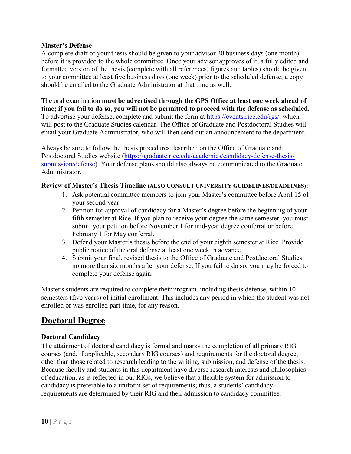#### **Master's Defense**

A complete draft of your thesis should be given to your advisor 20 business days (one month) before it is provided to the whole committee. Once your advisor approves of it, a fully edited and formatted version of the thesis (complete with all references, figures and tables) should be given to your committee at least five business days (one week) prior to the scheduled defense; a copy should be emailed to the Graduate Administrator at that time as well.

#### The oral examination **must be advertised through the GPS Office at least one week ahead of time; if you fail to do so, you will not be permitted to proceed with the defense as scheduled**.

To advertise your defense, complete and submit the form at [https://events.rice.edu/rgs/,](https://events.rice.edu/rgs/) which will post to the Graduate Studies calendar. The Office of Graduate and Postdoctoral Studies will email your Graduate Administrator, who will then send out an announcement to the department.

Always be sure to follow the thesis procedures described on the Office of Graduate and Postdoctoral Studies website [\(https://graduate.rice.edu/academics/candidacy-defense-thesis](https://graduate.rice.edu/academics/candidacy-defense-thesis-submission/defense)[submission/defense\)](https://graduate.rice.edu/academics/candidacy-defense-thesis-submission/defense). Your defense plans should also always be communicated to the Graduate Administrator.

#### <span id="page-10-0"></span>**Review of Master's Thesis Timeline (ALSO CONSULT UNIVERSITY GUIDELINES/DEADLINES):**

- 1. Ask potential committee members to join your Master's committee before April 15 of your second year.
- 2. Petition for approval of candidacy for a Master's degree before the beginning of your fifth semester at Rice. If you plan to receive your degree the same semester, you must submit your petition before November 1 for mid-year degree conferral or before February 1 for May conferral.
- 3. Defend your Master's thesis before the end of your eighth semester at Rice. Provide public notice of the oral defense at least one week in advance.
- 4. Submit your final, revised thesis to the Office of Graduate and Postdoctoral Studies no more than six months after your defense. If you fail to do so, you may be forced to complete your defense again.

Master's students are required to complete their program, including thesis defense, within 10 semesters (five years) of initial enrollment. This includes any period in which the student was not enrolled or was enrolled part-time, for any reason.

# <span id="page-10-1"></span>**Doctoral Degree**

## <span id="page-10-2"></span>**Doctoral Candidacy**

The attainment of doctoral candidacy is formal and marks the completion of all primary RIG courses (and, if applicable, secondary RIG courses) and requirements for the doctoral degree, other than those related to research leading to the writing, submission, and defense of the thesis. Because faculty and students in this department have diverse research interests and philosophies of education, as is reflected in our RIGs, we believe that a flexible system for admission to candidacy is preferable to a uniform set of requirements; thus, a students' candidacy requirements are determined by their RIG and their admission to candidacy committee.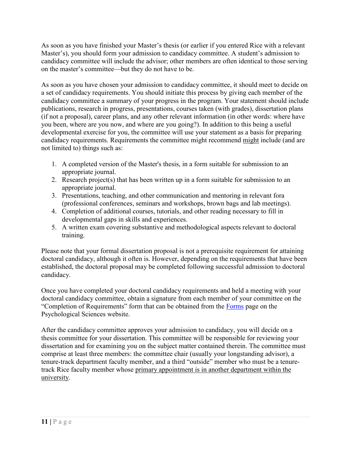As soon as you have finished your Master's thesis (or earlier if you entered Rice with a relevant Master's), you should form your admission to candidacy committee. A student's admission to candidacy committee will include the advisor; other members are often identical to those serving on the master's committee—but they do not have to be.

As soon as you have chosen your admission to candidacy committee, it should meet to decide on a set of candidacy requirements. You should initiate this process by giving each member of the candidacy committee a summary of your progress in the program. Your statement should include publications, research in progress, presentations, courses taken (with grades), dissertation plans (if not a proposal), career plans, and any other relevant information (in other words: where have you been, where are you now, and where are you going?). In addition to this being a useful developmental exercise for you, the committee will use your statement as a basis for preparing candidacy requirements. Requirements the committee might recommend might include (and are not limited to) things such as:

- 1. A completed version of the Master's thesis, in a form suitable for submission to an appropriate journal.
- 2. Research project(s) that has been written up in a form suitable for submission to an appropriate journal.
- 3. Presentations, teaching, and other communication and mentoring in relevant fora (professional conferences, seminars and workshops, brown bags and lab meetings).
- 4. Completion of additional courses, tutorials, and other reading necessary to fill in developmental gaps in skills and experiences.
- 5. A written exam covering substantive and methodological aspects relevant to doctoral training.

Please note that your formal dissertation proposal is not a prerequisite requirement for attaining doctoral candidacy, although it often is. However, depending on the requirements that have been established, the doctoral proposal may be completed following successful admission to doctoral candidacy.

Once you have completed your doctoral candidacy requirements and held a meeting with your doctoral candidacy committee, obtain a signature from each member of your committee on the "Completion of Requirements" form that can be obtained from the [Forms](https://psychology.rice.edu/forms) page on the Psychological Sciences website.

After the candidacy committee approves your admission to candidacy, you will decide on a thesis committee for your dissertation. This committee will be responsible for reviewing your dissertation and for examining you on the subject matter contained therein. The committee must comprise at least three members: the committee chair (usually your longstanding advisor), a tenure-track department faculty member, and a third "outside" member who must be a tenuretrack Rice faculty member whose primary appointment is in another department within the university.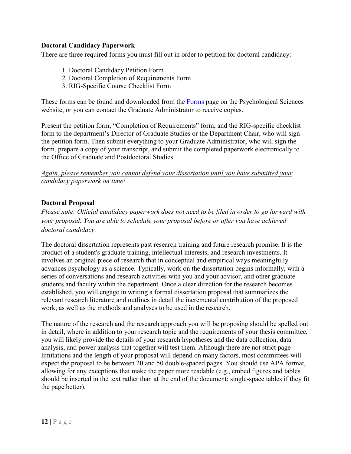#### <span id="page-12-0"></span>**Doctoral Candidacy Paperwork**

There are three required forms you must fill out in order to petition for doctoral candidacy:

- 1. Doctoral Candidacy Petition Form
- 2. Doctoral Completion of Requirements Form
- 3. RIG-Specific Course Checklist Form

These forms can be found and downloaded from the [Forms](https://psychology.rice.edu/forms) page on the Psychological Sciences website, or you can contact the Graduate Administrator to receive copies.

Present the petition form, "Completion of Requirements" form, and the RIG-specific checklist form to the department's Director of Graduate Studies or the Department Chair, who will sign the petition form. Then submit everything to your Graduate Administrator, who will sign the form, prepare a copy of your transcript, and submit the completed paperwork electronically to the Office of Graduate and Postdoctoral Studies.

#### *Again, please remember you cannot defend your dissertation until you have submitted your candidacy paperwork on time!*

#### <span id="page-12-1"></span>**Doctoral Proposal**

*Please note: Official candidacy paperwork does not need to be filed in order to go forward with your proposal. You are able to schedule your proposal before or after you have achieved doctoral candidacy.*

The doctoral dissertation represents past research training and future research promise. It is the product of a student's graduate training, intellectual interests, and research investments. It involves an original piece of research that in conceptual and empirical ways meaningfully advances psychology as a science. Typically, work on the dissertation begins informally, with a series of conversations and research activities with you and your advisor, and other graduate students and faculty within the department. Once a clear direction for the research becomes established, you will engage in writing a formal dissertation proposal that summarizes the relevant research literature and outlines in detail the incremental contribution of the proposed work, as well as the methods and analyses to be used in the research.

The nature of the research and the research approach you will be proposing should be spelled out in detail, where in addition to your research topic and the requirements of your thesis committee, you will likely provide the details of your research hypotheses and the data collection, data analysis, and power analysis that together will test them. Although there are not strict page limitations and the length of your proposal will depend on many factors, most committees will expect the proposal to be between 20 and 50 double-spaced pages. You should use APA format, allowing for any exceptions that make the paper more readable (e.g., embed figures and tables should be inserted in the text rather than at the end of the document; single-space tables if they fit the page better).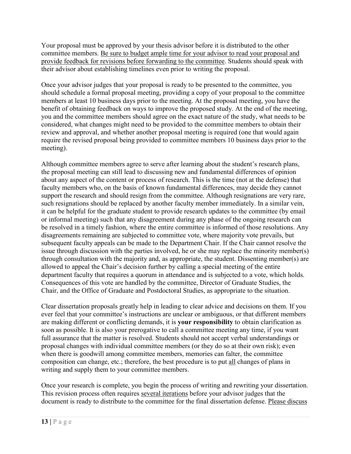Your proposal must be approved by your thesis advisor before it is distributed to the other committee members. Be sure to budget ample time for your advisor to read your proposal and provide feedback for revisions before forwarding to the committee. Students should speak with their advisor about establishing timelines even prior to writing the proposal.

Once your advisor judges that your proposal is ready to be presented to the committee, you should schedule a formal proposal meeting, providing a copy of your proposal to the committee members at least 10 business days prior to the meeting. At the proposal meeting, you have the benefit of obtaining feedback on ways to improve the proposed study. At the end of the meeting, you and the committee members should agree on the exact nature of the study, what needs to be considered, what changes might need to be provided to the committee members to obtain their review and approval, and whether another proposal meeting is required (one that would again require the revised proposal being provided to committee members 10 business days prior to the meeting).

Although committee members agree to serve after learning about the student's research plans, the proposal meeting can still lead to discussing new and fundamental differences of opinion about any aspect of the content or process of research. This is the time (not at the defense) that faculty members who, on the basis of known fundamental differences, may decide they cannot support the research and should resign from the committee. Although resignations are very rare, such resignations should be replaced by another faculty member immediately. In a similar vein, it can be helpful for the graduate student to provide research updates to the committee (by email or informal meeting) such that any disagreement during any phase of the ongoing research can be resolved in a timely fashion, where the entire committee is informed of those resolutions. Any disagreements remaining are subjected to committee vote, where majority vote prevails, but subsequent faculty appeals can be made to the Department Chair. If the Chair cannot resolve the issue through discussion with the parties involved, he or she may replace the minority member(s) through consultation with the majority and, as appropriate, the student. Dissenting member(s) are allowed to appeal the Chair's decision further by calling a special meeting of the entire department faculty that requires a quorum in attendance and is subjected to a vote, which holds. Consequences of this vote are handled by the committee, Director of Graduate Studies, the Chair, and the Office of Graduate and Postdoctoral Studies, as appropriate to the situation.

Clear dissertation proposals greatly help in leading to clear advice and decisions on them. If you ever feel that your committee's instructions are unclear or ambiguous, or that different members are making different or conflicting demands, it is **your responsibility** to obtain clarification as soon as possible. It is also your prerogative to call a committee meeting any time, if you want full assurance that the matter is resolved. Students should not accept verbal understandings or proposal changes with individual committee members (or they do so at their own risk); even when there is goodwill among committee members, memories can falter, the committee composition can change, etc.; therefore, the best procedure is to put all changes of plans in writing and supply them to your committee members.

Once your research is complete, you begin the process of writing and rewriting your dissertation. This revision process often requires several iterations before your advisor judges that the document is ready to distribute to the committee for the final dissertation defense. Please discuss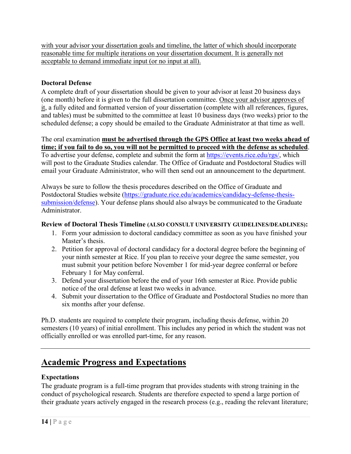with your advisor your dissertation goals and timeline, the latter of which should incorporate reasonable time for multiple iterations on your dissertation document. It is generally not acceptable to demand immediate input (or no input at all).

### <span id="page-14-0"></span>**Doctoral Defense**

A complete draft of your dissertation should be given to your advisor at least 20 business days (one month) before it is given to the full dissertation committee. Once your advisor approves of it, a fully edited and formatted version of your dissertation (complete with all references, figures, and tables) must be submitted to the committee at least 10 business days (two weeks) prior to the scheduled defense; a copy should be emailed to the Graduate Administrator at that time as well.

The oral examination **must be advertised through the GPS Office at least two weeks ahead of time; if you fail to do so, you will not be permitted to proceed with the defense as scheduled**. To advertise your defense, complete and submit the form at [https://events.rice.edu/rgs/,](https://events.rice.edu/rgs/) which will post to the Graduate Studies calendar. The Office of Graduate and Postdoctoral Studies will email your Graduate Administrator, who will then send out an announcement to the department.

Always be sure to follow the thesis procedures described on the Office of Graduate and Postdoctoral Studies website [\(https://graduate.rice.edu/academics/candidacy-defense-thesis](https://graduate.rice.edu/academics/candidacy-defense-thesis-submission/defense)[submission/defense\)](https://graduate.rice.edu/academics/candidacy-defense-thesis-submission/defense). Your defense plans should also always be communicated to the Graduate Administrator.

#### **Review of Doctoral Thesis Timeline (ALSO CONSULT UNIVERSITY GUIDELINES/DEADLINES):**

- 1. Form your admission to doctoral candidacy committee as soon as you have finished your Master's thesis.
- 2. Petition for approval of doctoral candidacy for a doctoral degree before the beginning of your ninth semester at Rice. If you plan to receive your degree the same semester, you must submit your petition before November 1 for mid-year degree conferral or before February 1 for May conferral.
- 3. Defend your dissertation before the end of your 16th semester at Rice. Provide public notice of the oral defense at least two weeks in advance.
- 4. Submit your dissertation to the Office of Graduate and Postdoctoral Studies no more than six months after your defense.

Ph.D. students are required to complete their program, including thesis defense, within 20 semesters (10 years) of initial enrollment. This includes any period in which the student was not officially enrolled or was enrolled part-time, for any reason.

# <span id="page-14-1"></span>**Academic Progress and Expectations**

## <span id="page-14-2"></span>**Expectations**

The graduate program is a full-time program that provides students with strong training in the conduct of psychological research. Students are therefore expected to spend a large portion of their graduate years actively engaged in the research process (e.g., reading the relevant literature;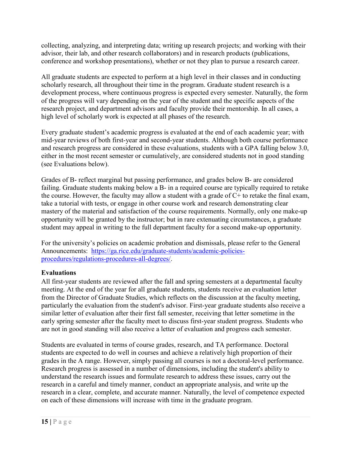collecting, analyzing, and interpreting data; writing up research projects; and working with their advisor, their lab, and other research collaborators) and in research products (publications, conference and workshop presentations), whether or not they plan to pursue a research career.

All graduate students are expected to perform at a high level in their classes and in conducting scholarly research, all throughout their time in the program. Graduate student research is a development process, where continuous progress is expected every semester. Naturally, the form of the progress will vary depending on the year of the student and the specific aspects of the research project, and department advisors and faculty provide their mentorship. In all cases, a high level of scholarly work is expected at all phases of the research.

Every graduate student's academic progress is evaluated at the end of each academic year; with mid-year reviews of both first-year and second-year students. Although both course performance and research progress are considered in these evaluations, students with a GPA falling below 3.0, either in the most recent semester or cumulatively, are considered students not in good standing (see Evaluations below).

Grades of B- reflect marginal but passing performance, and grades below B- are considered failing. Graduate students making below a B- in a required course are typically required to retake the course. However, the faculty may allow a student with a grade of  $C+$  to retake the final exam, take a tutorial with tests, or engage in other course work and research demonstrating clear mastery of the material and satisfaction of the course requirements. Normally, only one make-up opportunity will be granted by the instructor; but in rare extenuating circumstances, a graduate student may appeal in writing to the full department faculty for a second make-up opportunity.

For the university's policies on academic probation and dismissals, please refer to the General Announcements: [https://ga.rice.edu/graduate-students/academic-policies](https://ga.rice.edu/graduate-students/academic-policies-procedures/regulations-procedures-all-degrees/)[procedures/regulations-procedures-all-degrees/.](https://ga.rice.edu/graduate-students/academic-policies-procedures/regulations-procedures-all-degrees/)

## <span id="page-15-0"></span>**Evaluations**

All first-year students are reviewed after the fall and spring semesters at a departmental faculty meeting. At the end of the year for all graduate students, students receive an evaluation letter from the Director of Graduate Studies, which reflects on the discussion at the faculty meeting, particularly the evaluation from the student's advisor. First-year graduate students also receive a similar letter of evaluation after their first fall semester, receiving that letter sometime in the early spring semester after the faculty meet to discuss first-year student progress. Students who are not in good standing will also receive a letter of evaluation and progress each semester.

Students are evaluated in terms of course grades, research, and TA performance. Doctoral students are expected to do well in courses and achieve a relatively high proportion of their grades in the A range. However, simply passing all courses is not a doctoral-level performance. Research progress is assessed in a number of dimensions, including the student's ability to understand the research issues and formulate research to address these issues, carry out the research in a careful and timely manner, conduct an appropriate analysis, and write up the research in a clear, complete, and accurate manner. Naturally, the level of competence expected on each of these dimensions will increase with time in the graduate program.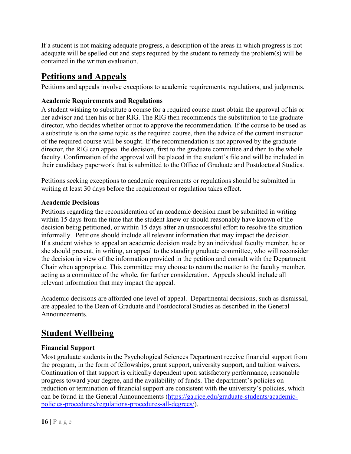If a student is not making adequate progress, a description of the areas in which progress is not adequate will be spelled out and steps required by the student to remedy the problem(s) will be contained in the written evaluation.

# <span id="page-16-0"></span>**Petitions and Appeals**

Petitions and appeals involve exceptions to academic requirements, regulations, and judgments.

## <span id="page-16-1"></span>**Academic Requirements and Regulations**

A student wishing to substitute a course for a required course must obtain the approval of his or her advisor and then his or her RIG. The RIG then recommends the substitution to the graduate director, who decides whether or not to approve the recommendation. If the course to be used as a substitute is on the same topic as the required course, then the advice of the current instructor of the required course will be sought. If the recommendation is not approved by the graduate director, the RIG can appeal the decision, first to the graduate committee and then to the whole faculty. Confirmation of the approval will be placed in the student's file and will be included in their candidacy paperwork that is submitted to the Office of Graduate and Postdoctoral Studies.

Petitions seeking exceptions to academic requirements or regulations should be submitted in writing at least 30 days before the requirement or regulation takes effect.

#### <span id="page-16-2"></span>**Academic Decisions**

Petitions regarding the reconsideration of an academic decision must be submitted in writing within 15 days from the time that the student knew or should reasonably have known of the decision being petitioned, or within 15 days after an unsuccessful effort to resolve the situation informally. Petitions should include all relevant information that may impact the decision. If a student wishes to appeal an academic decision made by an individual faculty member, he or she should present, in writing, an appeal to the standing graduate committee, who will reconsider the decision in view of the information provided in the petition and consult with the Department Chair when appropriate. This committee may choose to return the matter to the faculty member, acting as a committee of the whole, for further consideration. Appeals should include all relevant information that may impact the appeal.

Academic decisions are afforded one level of appeal. Departmental decisions, such as dismissal, are appealed to the Dean of Graduate and Postdoctoral Studies as described in the General Announcements.

# <span id="page-16-3"></span>**Student Wellbeing**

## <span id="page-16-4"></span>**Financial Support**

Most graduate students in the Psychological Sciences Department receive financial support from the program, in the form of fellowships, grant support, university support, and tuition waivers. Continuation of that support is critically dependent upon satisfactory performance, reasonable progress toward your degree, and the availability of funds. The department's policies on reduction or termination of financial support are consistent with the university's policies, which can be found in the General Announcements [\(https://ga.rice.edu/graduate-students/academic](https://ga.rice.edu/graduate-students/academic-policies-procedures/regulations-procedures-all-degrees/)[policies-procedures/regulations-procedures-all-degrees/\)](https://ga.rice.edu/graduate-students/academic-policies-procedures/regulations-procedures-all-degrees/).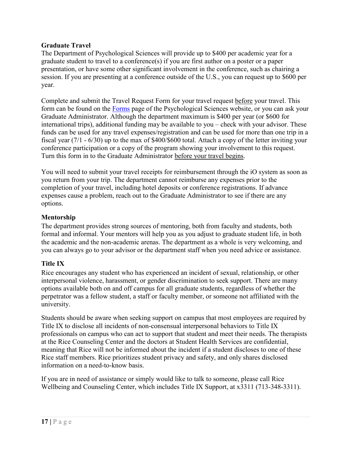#### **Graduate Travel**

The Department of Psychological Sciences will provide up to \$400 per academic year for a graduate student to travel to a conference(s) if you are first author on a poster or a paper presentation, or have some other significant involvement in the conference, such as chairing a session. If you are presenting at a conference outside of the U.S., you can request up to \$600 per year.

Complete and submit the Travel Request Form for your travel request before your travel. This form can be found on the [Forms](https://psychology.rice.edu/forms) page of the Psychological Sciences website, or you can ask your Graduate Administrator. Although the department maximum is \$400 per year (or \$600 for international trips), additional funding may be available to you – check with your advisor. These funds can be used for any travel expenses/registration and can be used for more than one trip in a fiscal year (7/1 - 6/30) up to the max of \$400/\$600 total. Attach a copy of the letter inviting your conference participation or a copy of the program showing your involvement to this request. Turn this form in to the Graduate Administrator before your travel begins.

You will need to submit your travel receipts for reimbursement through the iO system as soon as you return from your trip. The department cannot reimburse any expenses prior to the completion of your travel, including hotel deposits or conference registrations. If advance expenses cause a problem, reach out to the Graduate Administrator to see if there are any options.

#### <span id="page-17-0"></span>**Mentorship**

The department provides strong sources of mentoring, both from faculty and students, both formal and informal. Your mentors will help you as you adjust to graduate student life, in both the academic and the non-academic arenas. The department as a whole is very welcoming, and you can always go to your advisor or the department staff when you need advice or assistance.

## <span id="page-17-1"></span>**Title IX**

Rice encourages any student who has experienced an incident of sexual, relationship, or other interpersonal violence, harassment, or gender discrimination to seek support. There are many options available both on and off campus for all graduate students, regardless of whether the perpetrator was a fellow student, a staff or faculty member, or someone not affiliated with the university.

Students should be aware when seeking support on campus that most employees are required by Title IX to disclose all incidents of non-consensual interpersonal behaviors to Title IX professionals on campus who can act to support that student and meet their needs. The therapists at the Rice Counseling Center and the doctors at Student Health Services are confidential, meaning that Rice will not be informed about the incident if a student discloses to one of these Rice staff members. Rice prioritizes student privacy and safety, and only shares disclosed information on a need-to-know basis.

If you are in need of assistance or simply would like to talk to someone, please call Rice Wellbeing and Counseling Center, which includes Title IX Support, at x3311 (713-348-3311).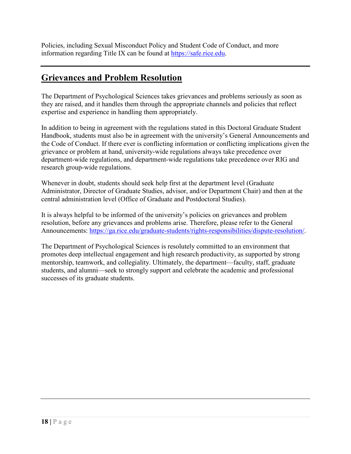Policies, including Sexual Misconduct Policy and Student Code of Conduct, and more information regarding Title IX can be found at [https://safe.rice.edu.](https://safe.rice.edu/)

# <span id="page-18-0"></span>**Grievances and Problem Resolution**

The Department of Psychological Sciences takes grievances and problems seriously as soon as they are raised, and it handles them through the appropriate channels and policies that reflect expertise and experience in handling them appropriately.

In addition to being in agreement with the regulations stated in this Doctoral Graduate Student Handbook, students must also be in agreement with the university's General Announcements and the Code of Conduct. If there ever is conflicting information or conflicting implications given the grievance or problem at hand, university-wide regulations always take precedence over department-wide regulations, and department-wide regulations take precedence over RIG and research group-wide regulations.

Whenever in doubt, students should seek help first at the department level (Graduate Administrator, Director of Graduate Studies, advisor, and/or Department Chair) and then at the central administration level (Office of Graduate and Postdoctoral Studies).

It is always helpful to be informed of the university's policies on grievances and problem resolution, before any grievances and problems arise. Therefore, please refer to the General Announcements: [https://ga.rice.edu/graduate-students/rights-responsibilities/dispute-resolution/.](https://ga.rice.edu/graduate-students/rights-responsibilities/dispute-resolution/)

The Department of Psychological Sciences is resolutely committed to an environment that promotes deep intellectual engagement and high research productivity, as supported by strong mentorship, teamwork, and collegiality. Ultimately, the department—faculty, staff, graduate students, and alumni—seek to strongly support and celebrate the academic and professional successes of its graduate students.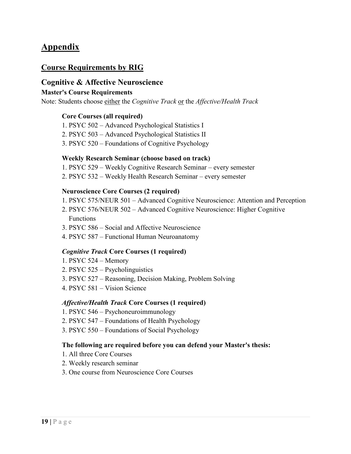# <span id="page-19-0"></span>**Appendix**

# **Course Requirements by RIG**

#### **Cognitive & Affective Neuroscience**

#### **Master's Course Requirements**

Note: Students choose either the *Cognitive Track* or the *Affective/Health Track*

#### **Core Courses (all required)**

- 1. PSYC 502 Advanced Psychological Statistics I
- 2. PSYC 503 Advanced Psychological Statistics II
- 3. PSYC 520 Foundations of Cognitive Psychology

#### **Weekly Research Seminar (choose based on track)**

- 1. PSYC 529 Weekly Cognitive Research Seminar every semester
- 2. PSYC 532 Weekly Health Research Seminar every semester

#### **Neuroscience Core Courses (2 required)**

- 1. PSYC 575/NEUR 501 Advanced Cognitive Neuroscience: Attention and Perception
- 2. PSYC 576/NEUR 502 Advanced Cognitive Neuroscience: Higher Cognitive Functions
- 3. PSYC 586 Social and Affective Neuroscience
- 4. PSYC 587 Functional Human Neuroanatomy

#### *Cognitive Track* **Core Courses (1 required)**

- 1. PSYC 524 Memory
- 2. PSYC 525 Psycholinguistics
- 3. PSYC 527 Reasoning, Decision Making, Problem Solving
- 4. PSYC 581 Vision Science

#### *Affective/Health Track* **Core Courses (1 required)**

- 1. PSYC 546 Psychoneuroimmunology
- 2. PSYC 547 Foundations of Health Psychology
- 3. PSYC 550 Foundations of Social Psychology

#### **The following are required before you can defend your Master's thesis:**

- 1. All three Core Courses
- 2. Weekly research seminar
- 3. One course from Neuroscience Core Courses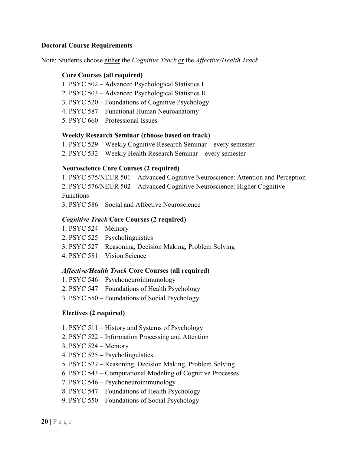#### **Doctoral Course Requirements**

Note: Students choose either the *Cognitive Track* or the *Affective/Health Track*

#### **Core Courses (all required)**

- 1. PSYC 502 Advanced Psychological Statistics I
- 2. PSYC 503 Advanced Psychological Statistics II
- 3. PSYC 520 Foundations of Cognitive Psychology
- 4. PSYC 587 Functional Human Neuroanatomy
- 5. PSYC 660 Professional Issues

#### **Weekly Research Seminar (choose based on track)**

1. PSYC 529 – Weekly Cognitive Research Seminar – every semester

2. PSYC 532 – Weekly Health Research Seminar – every semester

#### **Neuroscience Core Courses (2 required)**

1. PSYC 575/NEUR 501 – Advanced Cognitive Neuroscience: Attention and Perception 2. PSYC 576/NEUR 502 – Advanced Cognitive Neuroscience: Higher Cognitive Functions

3. PSYC 586 – Social and Affective Neuroscience

#### *Cognitive Track* **Core Courses (2 required)**

- 1. PSYC 524 Memory
- 2. PSYC 525 Psycholinguistics
- 3. PSYC 527 Reasoning, Decision Making, Problem Solving
- 4. PSYC 581 Vision Science

#### *Affective/Health Track* **Core Courses (all required)**

- 1. PSYC 546 Psychoneuroimmunology
- 2. PSYC 547 Foundations of Health Psychology
- 3. PSYC 550 Foundations of Social Psychology

#### **Electives (2 required)**

- 1. PSYC 511 History and Systems of Psychology
- 2. PSYC 522 Information Processing and Attention
- 3. PSYC 524 Memory
- 4. PSYC 525 Psycholinguistics
- 5. PSYC 527 Reasoning, Decision Making, Problem Solving
- 6. PSYC 543 Computational Modeling of Cognitive Processes
- 7. PSYC 546 Psychoneuroimmunology
- 8. PSYC 547 Foundations of Health Psychology
- 9. PSYC 550 Foundations of Social Psychology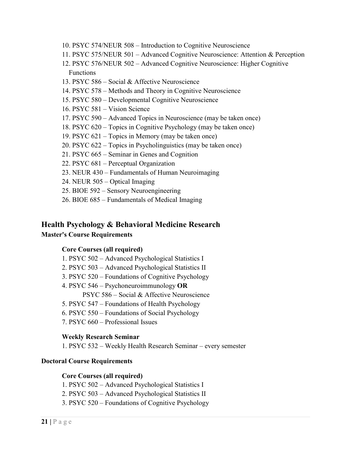- 10. PSYC 574/NEUR 508 Introduction to Cognitive Neuroscience
- 11. PSYC 575/NEUR 501 Advanced Cognitive Neuroscience: Attention & Perception
- 12. PSYC 576/NEUR 502 Advanced Cognitive Neuroscience: Higher Cognitive Functions
- 13. PSYC 586 Social & Affective Neuroscience
- 14. PSYC 578 Methods and Theory in Cognitive Neuroscience
- 15. PSYC 580 Developmental Cognitive Neuroscience
- 16. PSYC 581 Vision Science
- 17. PSYC 590 Advanced Topics in Neuroscience (may be taken once)
- 18. PSYC 620 Topics in Cognitive Psychology (may be taken once)
- 19. PSYC 621 Topics in Memory (may be taken once)
- 20. PSYC 622 Topics in Psycholinguistics (may be taken once)
- 21. PSYC 665 Seminar in Genes and Cognition
- 22. PSYC 681 Perceptual Organization
- 23. NEUR 430 Fundamentals of Human Neuroimaging
- 24. NEUR 505 Optical Imaging
- 25. BIOE 592 Sensory Neuroengineering
- 26. BIOE 685 Fundamentals of Medical Imaging

## **Health Psychology & Behavioral Medicine Research Master's Course Requirements**

## **Core Courses (all required)**

- 1. PSYC 502 Advanced Psychological Statistics I
- 2. PSYC 503 Advanced Psychological Statistics II
- 3. PSYC 520 Foundations of Cognitive Psychology
- 4. PSYC 546 Psychoneuroimmunology **OR**

PSYC 586 – Social & Affective Neuroscience

- 5. PSYC 547 Foundations of Health Psychology
- 6. PSYC 550 Foundations of Social Psychology
- 7. PSYC 660 Professional Issues

## **Weekly Research Seminar**

1. PSYC 532 – Weekly Health Research Seminar – every semester

## **Doctoral Course Requirements**

#### **Core Courses (all required)**

- 1. PSYC 502 Advanced Psychological Statistics I
- 2. PSYC 503 Advanced Psychological Statistics II
- 3. PSYC 520 Foundations of Cognitive Psychology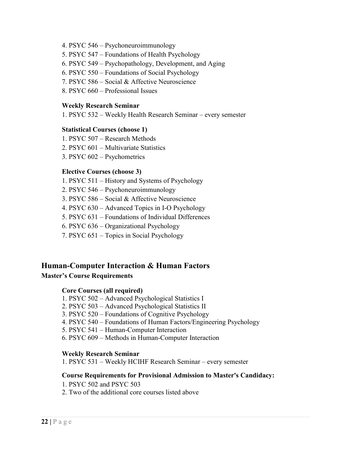- 4. PSYC 546 Psychoneuroimmunology
- 5. PSYC 547 Foundations of Health Psychology
- 6. PSYC 549 Psychopathology, Development, and Aging
- 6. PSYC 550 Foundations of Social Psychology
- 7. PSYC 586 Social & Affective Neuroscience
- 8. PSYC 660 Professional Issues

#### **Weekly Research Seminar**

1. PSYC 532 – Weekly Health Research Seminar – every semester

#### **Statistical Courses (choose 1)**

- 1. PSYC 507 Research Methods
- 2. PSYC 601 Multivariate Statistics
- 3. PSYC 602 Psychometrics

#### **Elective Courses (choose 3)**

- 1. PSYC 511 History and Systems of Psychology
- 2. PSYC 546 Psychoneuroimmunology
- 3. PSYC 586 Social & Affective Neuroscience
- 4. PSYC 630 Advanced Topics in I-O Psychology
- 5. PSYC 631 Foundations of Individual Differences
- 6. PSYC 636 Organizational Psychology
- 7. PSYC 651 Topics in Social Psychology

#### **Human-Computer Interaction & Human Factors**

#### **Master's Course Requirements**

#### **Core Courses (all required)**

- 1. PSYC 502 Advanced Psychological Statistics I
- 2. PSYC 503 Advanced Psychological Statistics II
- 3. PSYC 520 Foundations of Cognitive Psychology
- 4. PSYC 540 Foundations of Human Factors/Engineering Psychology
- 5. PSYC 541 Human-Computer Interaction
- 6. PSYC 609 Methods in Human-Computer Interaction

#### **Weekly Research Seminar**

1. PSYC 531 – Weekly HCIHF Research Seminar – every semester

#### **Course Requirements for Provisional Admission to Master's Candidacy:**

- 1. PSYC 502 and PSYC 503
- 2. Two of the additional core courses listed above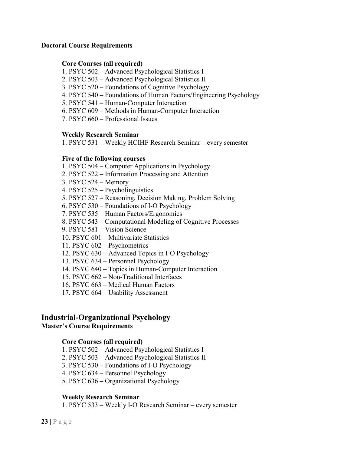#### **Doctoral Course Requirements**

#### **Core Courses (all required)**

- 1. PSYC 502 Advanced Psychological Statistics I
- 2. PSYC 503 Advanced Psychological Statistics II
- 3. PSYC 520 Foundations of Cognitive Psychology
- 4. PSYC 540 Foundations of Human Factors/Engineering Psychology
- 5. PSYC 541 Human-Computer Interaction
- 6. PSYC 609 Methods in Human-Computer Interaction
- 7. PSYC 660 Professional Issues

#### **Weekly Research Seminar**

1. PSYC 531 – Weekly HCIHF Research Seminar – every semester

#### **Five of the following courses**

- 1. PSYC 504 Computer Applications in Psychology
- 2. PSYC 522 Information Processing and Attention
- 3. PSYC 524 Memory
- 4. PSYC 525 Psycholinguistics
- 5. PSYC 527 Reasoning, Decision Making, Problem Solving
- 6. PSYC 530 Foundations of I-O Psychology
- 7. PSYC 535 Human Factors/Ergonomics
- 8. PSYC 543 Computational Modeling of Cognitive Processes
- 9. PSYC 581 Vision Science
- 10. PSYC 601 Multivariate Statistics
- 11. PSYC 602 Psychometrics
- 12. PSYC 630 Advanced Topics in I-O Psychology
- 13. PSYC 634 Personnel Psychology
- 14. PSYC 640 Topics in Human-Computer Interaction
- 15. PSYC 662 Non-Traditional Interfaces
- 16. PSYC 663 Medical Human Factors
- 17. PSYC 664 Usability Assessment

## **Industrial-Organizational Psychology**

#### **Master's Course Requirements**

#### **Core Courses (all required)**

- 1. PSYC 502 Advanced Psychological Statistics I
- 2. PSYC 503 Advanced Psychological Statistics II
- 3. PSYC 530 Foundations of I-O Psychology
- 4. PSYC 634 Personnel Psychology
- 5. PSYC 636 Organizational Psychology

#### **Weekly Research Seminar**

1. PSYC 533 – Weekly I-O Research Seminar – every semester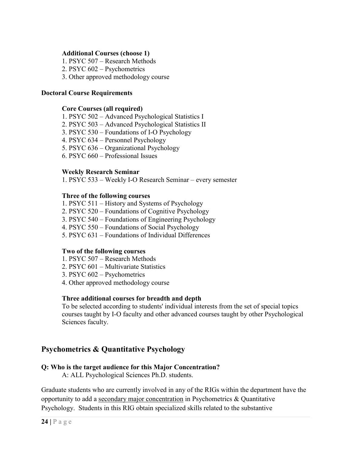#### **Additional Courses (choose 1)**

1. PSYC 507 – Research Methods

- 2. PSYC 602 Psychometrics
- 3. Other approved methodology course

#### **Doctoral Course Requirements**

#### **Core Courses (all required)**

- 1. PSYC 502 Advanced Psychological Statistics I
- 2. PSYC 503 Advanced Psychological Statistics II
- 3. PSYC 530 Foundations of I-O Psychology
- 4. PSYC 634 Personnel Psychology
- 5. PSYC 636 Organizational Psychology
- 6. PSYC 660 Professional Issues

#### **Weekly Research Seminar**

1. PSYC 533 – Weekly I-O Research Seminar – every semester

#### **Three of the following courses**

- 1. PSYC 511 History and Systems of Psychology
- 2. PSYC 520 Foundations of Cognitive Psychology
- 3. PSYC 540 Foundations of Engineering Psychology
- 4. PSYC 550 Foundations of Social Psychology
- 5. PSYC 631 Foundations of Individual Differences

#### **Two of the following courses**

- 1. PSYC 507 Research Methods
- 2. PSYC 601 Multivariate Statistics
- 3. PSYC 602 Psychometrics
- 4. Other approved methodology course

#### **Three additional courses for breadth and depth**

 To be selected according to students' individual interests from the set of special topics courses taught by I-O faculty and other advanced courses taught by other Psychological Sciences faculty.

# **Psychometrics & Quantitative Psychology**

#### **Q: Who is the target audience for this Major Concentration?**

A: ALL Psychological Sciences Ph.D. students.

Graduate students who are currently involved in any of the RIGs within the department have the opportunity to add a secondary major concentration in Psychometrics & Quantitative Psychology. Students in this RIG obtain specialized skills related to the substantive